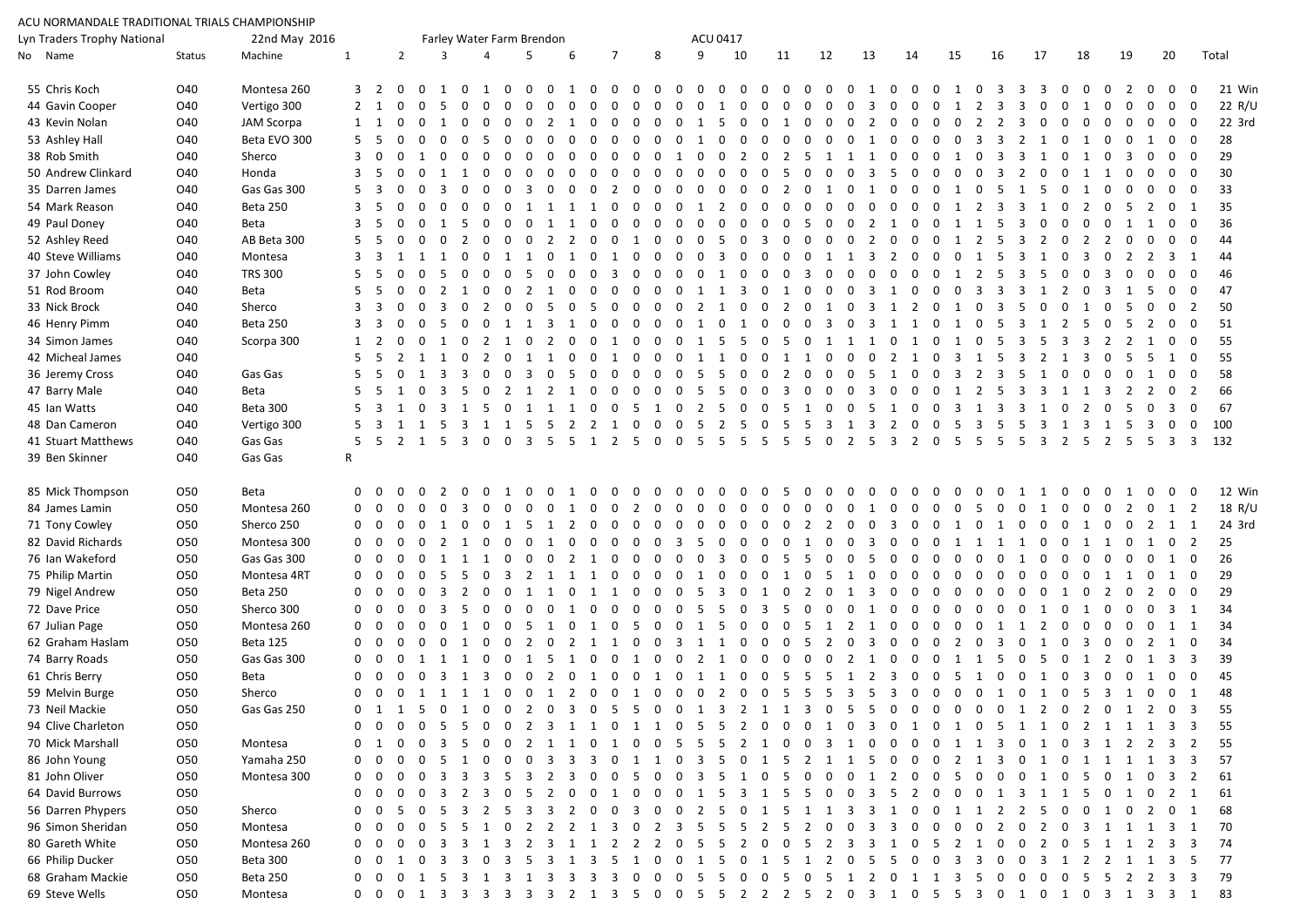| ACU NORMANDALE TRADITIONAL TRIALS CHAMPIONSHIP |               |                   |              |                         |                           |                                     |                                  |                   |                |                |                         |                |                |                |          |                |                            |                                  |                         |                |                |                         |                                                                                                                                              |                |                |                |          |                |                                            |                          |                         |                     |                |                         |                |              |                     |                         |        |
|------------------------------------------------|---------------|-------------------|--------------|-------------------------|---------------------------|-------------------------------------|----------------------------------|-------------------|----------------|----------------|-------------------------|----------------|----------------|----------------|----------|----------------|----------------------------|----------------------------------|-------------------------|----------------|----------------|-------------------------|----------------------------------------------------------------------------------------------------------------------------------------------|----------------|----------------|----------------|----------|----------------|--------------------------------------------|--------------------------|-------------------------|---------------------|----------------|-------------------------|----------------|--------------|---------------------|-------------------------|--------|
| Lyn Traders Trophy National                    | 22nd May 2016 |                   |              |                         | Farley Water Farm Brendon |                                     |                                  |                   |                |                |                         |                |                | ACU 0417       |          |                |                            |                                  |                         |                |                |                         |                                                                                                                                              |                |                |                |          |                |                                            |                          |                         |                     |                |                         |                |              |                     |                         |        |
| No Name                                        | Status        | Machine           | $\mathbf{1}$ |                         | $\overline{2}$            |                                     | $\overline{3}$                   | $\overline{4}$    |                | 5              |                         | 6              |                | $\overline{7}$ |          | 8              |                            | 9                                | 10                      |                | 11             |                         | 12                                                                                                                                           | 13             |                | 14             |          | 15             | 16                                         |                          | 17                      |                     | 18             |                         | 19             |              | 20                  |                         | Total  |
| 55 Chris Koch                                  | O40           | Montesa 260       |              | 3 2 0                   |                           | $\overline{0}$                      | $\mathbf{1}$<br>$\Omega$         | 1                 | $\Omega$       | $\Omega$       | $\Omega$                | $\overline{1}$ | 0              | $0\quad 0$     |          | $\mathbf{0}$   | $\Omega$                   | $\overline{0}$<br>$\Omega$       | - 0                     | $\Omega$       | $\Omega$       | $\Omega$                | $\Omega$<br>$\Omega$                                                                                                                         | $\overline{1}$ | $\Omega$       | $\Omega$       | $\Omega$ | $\overline{1}$ | $\Omega$<br>- 3                            | 3                        | 3                       | $\Omega$            | $\Omega$       | $\Omega$                | $\mathcal{L}$  | $\Omega$     | $0\quad 0$          |                         | 21 Win |
| 44 Gavin Cooper                                | O40           | Vertigo 300       |              | $2 \quad 1$             | $\Omega$                  | $\Omega$                            | $\Omega$                         | $\Omega$          | $\Omega$       | $\Omega$       |                         | $\Omega$       |                | $\Omega$       |          | $\Omega$       | $\Omega$                   | 1<br>$\Omega$                    | $\Omega$                | $\Omega$       | $\Omega$       | $\Omega$                | $\Omega$                                                                                                                                     | 3              |                | $\Omega$       | $\Omega$ | 1              | 2<br>3                                     | 3                        | $\Omega$                | $\Omega$            |                |                         |                |              | $0\quad 0$          |                         | 22 R/U |
| 43 Kevin Nolan                                 | O40           | <b>JAM Scorpa</b> |              |                         | $\Omega$                  | $\overline{0}$                      | $\Omega$<br>1                    |                   | $\Omega$       | $\Omega$       |                         |                |                | $\Omega$       | $\Omega$ | $\Omega$       | $\Omega$<br>$\overline{1}$ | -5                               | $\Omega$                | $\Omega$       | $\overline{1}$ | $\Omega$                | $\Omega$<br>$\overline{0}$                                                                                                                   | 2              | $\Omega$       | $\Omega$       | $\Omega$ | $\Omega$       | 2                                          | $\overline{2}$<br>3      | $\Omega$                | $\Omega$            | $\Omega$       | $\Omega$                |                |              | $0\quad 0$          |                         | 22 3rd |
| 53 Ashley Hall                                 | O40           | Beta EVO 300      | $5^{\circ}$  |                         |                           |                                     |                                  |                   |                |                |                         |                |                |                |          | $\Omega$       | $\Omega$                   | $\Omega$                         |                         |                |                | $\Omega$                |                                                                                                                                              | $\overline{1}$ |                | $\Omega$       | $\Omega$ | $\Omega$       | 3<br>3                                     | 2                        |                         | $\Omega$            |                |                         |                |              | $0\quad 0$          |                         | 28     |
| 38 Rob Smith                                   | O40           | Sherco            | 3            |                         |                           |                                     |                                  |                   |                |                |                         |                |                |                |          | $\Omega$       |                            | $\Omega$                         | 2                       |                | 2              | -5                      | 1                                                                                                                                            |                |                |                |          |                |                                            |                          |                         |                     |                |                         |                |              | $0\quad 0$          |                         | 29     |
| 50 Andrew Clinkard                             | O40           | Honda             |              |                         |                           |                                     |                                  |                   | $\Omega$       |                |                         | $\Omega$       | $\Omega$       | $\Omega$       |          | $\Omega$       | $\Omega$                   | $\Omega$<br>$\Omega$             | $\Omega$                | $\Omega$       |                | $\Omega$                |                                                                                                                                              | 3              |                |                |          | $\Omega$       |                                            | $\mathcal{P}$            |                         |                     |                |                         | $\Omega$       | $\Omega$     | $0\quad 0$          |                         | 30     |
| 35 Darren James                                | O40           | Gas Gas 300       |              |                         |                           |                                     |                                  |                   | $\Omega$       | 3              | $\Omega$                | $\Omega$       | $\Omega$       | 2              |          | $\Omega$       | $\Omega$                   | $\Omega$<br>$\Omega$             | $\Omega$                | $\Omega$       | 2              | $\Omega$                | 1<br>$\Omega$                                                                                                                                | 1              |                | $\Omega$       | $\Omega$ | -1             | $\Omega$                                   | 1                        |                         |                     |                |                         |                |              | $0\quad 0$          |                         | 33     |
| 54 Mark Reason                                 | O40           | Beta 250          |              |                         |                           |                                     | $\Omega$                         | $\Omega$          | $\Omega$       |                |                         |                |                | $\Omega$       | $\Omega$ | $\Omega$       | $\Omega$                   |                                  |                         | $\Omega$       |                | $\Omega$                | $\Omega$                                                                                                                                     | $\Omega$       |                | $\Omega$       | $\Omega$ |                | 2<br>3                                     | 3                        |                         | $\Omega$            | 2              | $\Omega$                | -5             | <sup>2</sup> | 0 <sub>1</sub>      |                         | 35     |
| 49 Paul Doney                                  | O40           | Beta              |              |                         |                           |                                     | - 5                              |                   | $\Omega$       | $\Omega$       |                         | $\overline{1}$ |                |                |          | $\Omega$       |                            | $\Omega$                         |                         | $\Omega$       | $\Omega$       | -5                      |                                                                                                                                              | 2              |                | $\Omega$       | $\Omega$ |                | -5                                         | 3                        |                         |                     |                |                         |                |              | $0\quad 0$          |                         | 36     |
| 52 Ashley Reed                                 | O40           | AB Beta 300       |              |                         |                           |                                     |                                  |                   |                |                |                         |                |                |                |          |                |                            | 5.                               |                         | 3              |                |                         |                                                                                                                                              |                |                |                |          |                |                                            |                          |                         |                     |                |                         |                |              | $0\quad 0$          |                         | 44     |
| 40 Steve Williams                              | O40           | Montesa           |              |                         |                           |                                     |                                  |                   |                |                |                         |                |                |                | $\Omega$ | $\Omega$       | $\Omega$                   | $\Omega$<br>3                    | $\Omega$                | $\Omega$       | $\Omega$       | $\Omega$                | -1                                                                                                                                           | 3              | 2              | $\Omega$       | $\Omega$ | $\Omega$       |                                            |                          |                         | $\Omega$            | 3              | $\Omega$                |                |              | $3 \quad 1$         |                         | 44     |
| 37 John Cowley                                 | O40           | <b>TRS 300</b>    |              |                         |                           |                                     | $\Omega$                         |                   | $\Omega$       | -5             |                         | $\Omega$       |                | 3              |          | $\Omega$       | $\Omega$                   | 1<br>$\Omega$                    | $\Omega$                | $\Omega$       | $\Omega$       | 3                       | $\Omega$                                                                                                                                     | $\Omega$       | $\Omega$       | $\Omega$       | $\Omega$ | 1              | $\overline{2}$                             | 3                        |                         | $\Omega$            | $\Omega$       | 3                       | $\Omega$       |              | $0\quad 0$          |                         | 46     |
| 51 Rod Broom                                   | O40           | Beta              |              |                         |                           |                                     |                                  |                   | $\Omega$       | 2              |                         | $\Omega$       | $\Omega$       | $\Omega$       | $\Omega$ | $\Omega$       | $\Omega$                   |                                  | 3                       | $\Omega$       |                | $\Omega$                | $\Omega$<br>$\Omega$                                                                                                                         | 3              |                | $\Omega$       | $\Omega$ | $\Omega$       | 3                                          | 3                        |                         | $\overline{2}$      | $\Omega$       | $\overline{\mathbf{3}}$ |                |              | $0\quad 0$          |                         | 47     |
| 33 Nick Brock                                  | O40           | Sherco            |              |                         |                           |                                     |                                  |                   | $\Omega$       |                |                         | $\Omega$       | -5             | $\Omega$       | $\Omega$ | $\Omega$       | $\Omega$                   | $\overline{2}$<br>$\overline{1}$ | $\Omega$                | $\Omega$       | 2              | $\Omega$                | $\Omega$<br>1                                                                                                                                | -3             |                | $1\quad 2$     | $\Omega$ | 1              | $\Omega$<br>-3                             |                          |                         |                     |                |                         |                |              | 0 <sub>2</sub>      |                         | 50     |
| 46 Henry Pimm                                  | O40           | Beta 250          |              |                         |                           |                                     |                                  |                   |                |                |                         |                | $\Omega$       | $\Omega$       |          | $\Omega$       | $\Omega$                   | $\Omega$<br>$\overline{1}$       | 1                       | $\Omega$       |                |                         | -3                                                                                                                                           |                |                |                |          |                |                                            |                          |                         |                     |                |                         |                |              | $\mathbf{0}$        | $\overline{\mathbf{0}}$ | 51     |
| 34 Simon James                                 | O40           | Scorpa 300        |              |                         |                           |                                     |                                  |                   |                |                |                         | 0              |                |                |          | $\Omega$       | $\Omega$                   |                                  | -5                      |                |                | $\Omega$                |                                                                                                                                              |                |                |                |          |                |                                            |                          |                         |                     |                |                         |                |              | $0\quad 0$          |                         | 55     |
| 42 Micheal James                               | O40           |                   |              |                         |                           |                                     | $\Omega$                         | 2                 | $\Omega$       |                |                         | $\Omega$       | $\Omega$       |                |          | $\Omega$       | $\Omega$                   | 1                                | $\Omega$                | $\Omega$       |                | 1                       | $\Omega$                                                                                                                                     | $\Omega$       | 2              | 1              | $\Omega$ | 3              | -5                                         | 3                        | 2                       | 1                   |                | $\Omega$                |                |              | 1 0                 |                         | 55     |
| 36 Jeremy Cross                                | O40           | Gas Gas           |              | -5                      |                           |                                     | $\overline{3}$<br>3              | $\Omega$          | $\Omega$       | $\overline{3}$ | $\Omega$                | -5             | $\overline{0}$ | $\Omega$       | $\Omega$ | $\Omega$       | $\Omega$                   | -5<br>-5                         | $\Omega$                | $\Omega$       | 2              | $\Omega$                | $\Omega$<br>$\Omega$                                                                                                                         | -5             |                | $\Omega$       | $\Omega$ | $\overline{3}$ | 2<br>$\overline{3}$                        | -5                       |                         | $\Omega$            | $\Omega$       | $\Omega$                | $\Omega$       |              | $0\quad 0$          |                         | 58     |
| 47 Barry Male                                  | O40           | Beta              |              |                         |                           | $\Omega$<br>$\overline{\mathbf{3}}$ | $-5$                             |                   | 0 2 1 2        |                |                         | 1              | $\Omega$       | $\Omega$       | $\Omega$ | $\Omega$       | $\Omega$<br>-5             | -5                               | $\Omega$                | $\Omega$       | 3              | $\Omega$                | $\Omega$<br>$\Omega$                                                                                                                         | $\overline{3}$ |                | $\Omega$       | $\Omega$ | 1              | 2<br>-5                                    | $\overline{3}$           | 3                       | 1                   |                | - 3                     | 2              | 2            | 0 <sub>2</sub>      |                         | 66     |
| 45 Ian Watts                                   | O40           | Beta 300          |              |                         |                           |                                     |                                  | -5                | $\overline{0}$ | $\overline{1}$ |                         | 1              |                | $\Omega$       |          |                | $\Omega$                   | 2<br>-5                          | - 0                     | $\Omega$       | -5             | -1                      | $\Omega$                                                                                                                                     | -5             |                |                | $\Omega$ | 3              |                                            | 3<br>3                   |                         | $\Omega$            | 2              |                         | -5             |              | 3                   | $\overline{\mathbf{0}}$ | 67     |
| 48 Dan Cameron                                 | O40           | Vertigo 300       |              | $\overline{\mathbf{3}}$ |                           |                                     |                                  | 3 1 1 5           |                |                | - 5                     | 2 2            |                | $\overline{1}$ | $\Omega$ | $\mathbf 0$    | $\Omega$<br>- 5            |                                  | 2 5                     | $\Omega$       |                | - 5                     | 3<br>1                                                                                                                                       | 3              | 2              | $\Omega$       | $\Omega$ | -5             | $\overline{3}$<br>- 5                      | - 5                      |                         |                     | 3              | <sup>1</sup>            |                |              | $0\quad 0$          |                         | 100    |
| 41 Stuart Matthews                             | O40           | Gas Gas           |              |                         | 5 5 2 1 5 3 0 0 3 5       | 1 5                                 |                                  |                   |                |                |                         | 5 1 2 5        |                |                |          | $\overline{0}$ | 0 <sub>5</sub>             |                                  | 5 5                     |                | -5<br>5 5 5    |                         | $\Omega$<br>$\overline{2}$                                                                                                                   |                | 5 <sub>3</sub> | $\overline{2}$ | $\Omega$ | - 5<br>- 5     | - 5                                        |                          | 3<br>5 3                | 1<br>$\overline{2}$ |                | 2 5                     | - 5            |              |                     |                         |        |
| 39 Ben Skinner                                 | O40           | Gas Gas           | $\mathsf{R}$ |                         |                           |                                     |                                  |                   |                |                |                         |                |                |                |          |                |                            |                                  |                         |                |                |                         |                                                                                                                                              |                |                |                |          |                |                                            |                          |                         |                     | -5             |                         |                | - 5          | 3 3 132             |                         |        |
| 85 Mick Thompson                               | O50           | Beta              |              |                         |                           |                                     | $\Omega$                         |                   |                |                |                         | - 1            |                | $\Omega$       |          | $\Omega$       | $\Omega$                   | $\Omega$<br>$\Omega$             | $\Omega$                | $\Omega$       | -5             | $\Omega$                | $\Omega$<br>$\Omega$                                                                                                                         | $\Omega$       |                |                | $\Omega$ |                | $\Omega$                                   | $\Omega$<br>1            |                         |                     |                |                         |                |              |                     |                         | 12 Win |
| 84 James Lamin                                 | O50           | Montesa 260       |              | $\Omega$                |                           |                                     |                                  |                   | $\Omega$       | $\Omega$       |                         |                | $\Omega$       | $\Omega$       |          | $\Omega$       | $\Omega$                   | $\Omega$<br>$\Omega$             | $\Omega$                | $\Omega$       | $\Omega$       | $\Omega$                | $\Omega$<br>$\Omega$                                                                                                                         | $\overline{1}$ | $\Omega$       | $\Omega$       | $\Omega$ | $\Omega$       |                                            |                          |                         |                     |                |                         |                |              | $1\quad 2$          |                         | 18 R/U |
| 71 Tony Cowley                                 | O50           | Sherco 250        |              | $\Omega$                |                           | $\Omega$                            | $\Omega$                         |                   | 1              | -5             |                         | 2              | $\Omega$       | $\Omega$       |          | $\Omega$       | $\Omega$                   | $\Omega$                         | $\Omega$                | $\Omega$       |                | 2                       | 2                                                                                                                                            | $\Omega$       |                |                |          |                |                                            | $\Omega$                 |                         |                     |                | $\Omega$                |                |              | $1 \quad 1$         |                         | 24 3rd |
| 82 David Richards                              | O50           | Montesa 300       | $\Omega$     | $\Omega$                | $\Omega$                  | $\Omega$                            |                                  | $\Omega$          | $\Omega$       | $\Omega$       |                         | $\Omega$       | $\Omega$       | $\Omega$       | $\Omega$ | $\Omega$       | 3                          | $\Omega$                         | $\Omega$                | $\Omega$       |                |                         |                                                                                                                                              | 3              |                |                |          |                |                                            |                          |                         |                     |                |                         |                |              | 0 <sub>2</sub>      |                         | 25     |
| 76 Ian Wakeford                                | O50           | Gas Gas 300       | $\Omega$     | $\Omega$                | $\mathbf 0$               | $\Omega$                            |                                  | $\overline{1}$    | $\Omega$       | $\Omega$       | $\overline{0}$          | $\overline{2}$ | $\overline{1}$ | $\Omega$       | $\Omega$ | $\Omega$       | $\Omega$                   | $\overline{3}$<br>$\Omega$       | $\Omega$                | $\Omega$       | -5.            | -5                      |                                                                                                                                              | -5             |                |                |          |                |                                            |                          |                         | $\Omega$            |                |                         | $\Omega$       |              | 1 0                 |                         | 26     |
| 75 Philip Martin                               | 050           | Montesa 4RT       | $\Omega$     | $\Omega$                | $\Omega$                  |                                     | - 5<br>-5                        |                   | 3              | 2              |                         | 1              | $\mathbf{1}$   | $\Omega$       | $\Omega$ | $\Omega$       | $\Omega$                   | $\Omega$<br>$\overline{1}$       | $\Omega$                | $\Omega$       | 1              | $\Omega$                | -5<br>$\overline{1}$                                                                                                                         | $\Omega$       |                | $\Omega$       | $\Omega$ | $\Omega$       | $\Omega$                                   | $\Omega$                 |                         | $\Omega$            | $\Omega$       |                         | 1              |              | 1 0                 |                         | 29     |
| 79 Nigel Andrew                                | 050           | Beta 250          | $\mathbf 0$  | $\Omega$                | $\Omega$                  | $\Omega$                            | $\overline{3}$<br>$\overline{2}$ | $\Omega$          | $\mathbf{0}$   | 1              |                         | $\Omega$       | $\overline{1}$ |                | $\Omega$ | 0              | $\Omega$<br>- 5            | $\overline{3}$                   | $\Omega$                |                | $\Omega$       | 2                       | $\Omega$                                                                                                                                     | 3              | $\Omega$       | $\Omega$       | $\Omega$ | $\Omega$       | $\Omega$                                   | $\mathbf{0}$<br>$\Omega$ | $\overline{\mathbf{0}}$ | 1                   | $\mathbf 0$    | 2                       | $\mathbf{0}$   | 2            | $0\quad 0$          |                         | 29     |
| 72 Dave Price                                  | 050           | Sherco 300        | $\Omega$     | $\Omega$                | $\Omega$                  | $\Omega$                            | -3<br>-5                         | $\Omega$          | $\Omega$       | $\Omega$       | $\Omega$                | 1              | $\Omega$       | $\Omega$       | $\Omega$ | $\Omega$       | $\Omega$                   | -5<br>-5                         | $\Omega$                | 3              |                | $\Omega$                | $\Omega$                                                                                                                                     | 1              |                | $\Omega$       |          | $\Omega$       | $\Omega$                                   | $\mathbf{0}$             | -1                      | 0                   | 1              | $\overline{0}$          | $\mathbf 0$    |              | 3 1                 |                         | 34     |
| 67 Julian Page                                 | O50           | Montesa 260       | $\Omega$     | $\Omega$                | $\Omega$                  | $\Omega$                            | $\Omega$<br>1                    | $\Omega$          | $\mathbf 0$    | -5             | 1                       | $\Omega$       | 1              | $\Omega$       | -5       | $\Omega$       | $\Omega$<br>1              | -5                               | $\Omega$                | $\Omega$       | $\Omega$       | -5                      |                                                                                                                                              |                |                | $\Omega$       | $\Omega$ | $\Omega$       | $\Omega$                                   |                          | 2                       | $\Omega$            | $\mathbf 0$    | $\mathbf{0}$            | $\Omega$       | $\Omega$     | 1 1                 |                         | 34     |
| 62 Graham Haslam                               | O50           | Beta 125          |              |                         |                           | $\Omega$                            | $\overline{1}$<br>$\Omega$       | $\Omega$          | $\Omega$       | $\overline{2}$ | $\Omega$                | $\overline{2}$ | $\overline{1}$ | $\overline{1}$ |          | $\Omega$       | -3                         | $\overline{1}$                   |                         |                |                | -5                      | $\overline{2}$                                                                                                                               | 3              |                |                |          | 2              | 3                                          | $\Omega$                 |                         | $\Omega$            |                |                         |                |              | 1 0                 |                         | 34     |
|                                                |               |                   |              | $\Omega$                |                           |                                     |                                  |                   |                |                |                         |                |                |                |          |                |                            |                                  |                         | $\Omega$       |                | $\Omega$                |                                                                                                                                              |                |                |                |          |                |                                            |                          |                         |                     | 3              | $\overline{0}$          | $0\quad 2$     |              | $1 \quad 3 \quad 3$ |                         |        |
| 74 Barry Roads                                 | 050           | Gas Gas 300       | $\Omega$     |                         |                           |                                     | $\mathbf{1}$<br>$\overline{1}$   | $\Omega$          | $\Omega$       |                | 1 5                     | 1              | 0              | $\Omega$       | 1        | $\Omega$       | $\Omega$<br>$\mathbf 0$    | 2<br>1                           | $\Omega$                |                |                |                         | 0<br>2                                                                                                                                       | 1              |                |                |          | -1             | - 5                                        | $\mathbf{0}$             | - 5                     | 0                   | 1              | 2                       | $\overline{0}$ |              |                     |                         | 39     |
| 61 Chris Berry                                 | O50           | Beta              |              | $\Omega$                |                           |                                     |                                  |                   | $\Omega$       | $\Omega$       | 2                       | $\Omega$       | 1              | $\Omega$       | $\Omega$ | 1              |                            |                                  | $\Omega$                | $\Omega$       |                | -5                      | -5<br>1                                                                                                                                      | $\mathcal{L}$  | 3              | $\Omega$       | $\Omega$ | -5             |                                            | $\Omega$                 |                         | $\Omega$            |                | $\Omega$                | $\Omega$       | 1            | $0\quad 0$          |                         | 45     |
| 59 Melvin Burge                                | 050           | Sherco            | $\mathbf{0}$ | $\overline{0}$          |                           |                                     |                                  |                   |                |                |                         |                |                |                |          |                |                            |                                  |                         |                |                |                         | 0 1 1 1 1 0 0 1 2 0 0 1 0 0 0 2 0 0 5 5 5 3 5 3 0 0 0 0 1<br>0 1 1 5 0 1 0 0 2 0 3 0 5 5 0 0 1 3 2 1 1 3 0 5 5 0 0 0 0 0 0 1 2 0 2 0 1 2 0 3 |                |                |                |          |                |                                            |                          | 0 1 0 5 3 1 0 0 1       |                     |                |                         |                |              |                     |                         | 48     |
| 73 Neil Mackie                                 | O50           | Gas Gas 250       |              |                         |                           |                                     |                                  |                   |                |                |                         |                |                |                |          |                |                            |                                  |                         |                |                |                         |                                                                                                                                              |                |                |                |          |                |                                            |                          |                         |                     |                |                         |                |              |                     |                         | 55.    |
| 94 Clive Charleton                             | 050           |                   |              | 0                       | 0                         | 0                                   | -5<br>-5                         | 0                 | 0              | 2              | 3                       | 1              | 1              | $0\quad 1$     |          | 1              | $\mathbf 0$                | -5<br>-5                         | 2                       |                | $\Omega$       | $\Omega$                | 1<br>$\Omega$                                                                                                                                | 3              | $\Omega$       | 1              | 0        | 1              | $\mathbf{0}$<br>$5\overline{)}$            |                          | 1 1                     | $\mathbf{0}$        |                |                         |                |              | 2 1 1 1 3 3         |                         | 55     |
| 70 Mick Marshall                               | 050           | Montesa           |              |                         |                           |                                     |                                  |                   |                |                |                         |                |                |                |          |                |                            |                                  |                         |                |                |                         |                                                                                                                                              |                |                |                |          |                |                                            | 0                        |                         | 0                   | 3              |                         | <sup>2</sup>   |              | 3                   | $\overline{\mathbf{2}}$ | 55     |
| 86 John Young                                  | O50           | Yamaha 250        | 0            | -0                      |                           |                                     |                                  |                   | 0              | $\Omega$       | 3                       | 3              |                |                |          |                | 0<br>3                     |                                  |                         |                |                | 2                       |                                                                                                                                              |                |                | 0              | 0        | 2              |                                            | 0<br>3                   | 1                       | 0                   | 1              | 1                       |                | -1           | 3 3                 |                         | 57     |
| 81 John Oliver                                 | 050           | Montesa 300       | 0            | - 0                     |                           |                                     |                                  |                   | -5             | -3             | -2                      | 3              | 0              | 0              |          | 0              | 0<br>3                     | 5                                | 1                       | 0              |                | $\Omega$                | $\Omega$                                                                                                                                     | 1              | 2              | $\Omega$       | $\Omega$ | -5             |                                            | 0                        | 1                       | 0                   | -5             | - 0                     | 1              |              | 3                   | $\overline{2}$          | 61     |
| 64 David Burrows                               | 050           |                   | 0            | 0                       | 0                         |                                     | 2<br>3                           |                   | 0              | - 5            | -2                      | $\mathbf{0}$   | 0              | 1              | $\Omega$ | 0              | $\mathbf 0$<br>1           | 5                                | 3                       | 1              | -5             | -5                      | $\Omega$<br>0                                                                                                                                | 3              | -5             | 2              | $\Omega$ | 0              | 0<br>1                                     | 3                        | $\overline{1}$          | 1                   | -5             | $\overline{\mathbf{0}}$ | 1              | 0            | 2 1                 |                         | 61     |
| 56 Darren Phypers                              | O50           | Sherco            | 0            | 0                       | 5                         |                                     | - 5                              | 3                 | 2 5            | - 3            | - 3                     | 2              | 0              | $\mathbf{0}$   | -3       | 0              | $\overline{2}$<br>0        | - 5                              | $\overline{\mathbf{0}}$ | 1              | -5             | $\mathbf{1}$            | 1 3                                                                                                                                          | - 3            |                | $\Omega$       | 0        | - 1            |                                            | 2                        | -5                      | $\mathbf{0}$        |                |                         |                |              | 0 1 0 2 0 1         |                         | 68     |
| 96 Simon Sheridan                              | O50           | Montesa           | 0            | 0                       |                           |                                     | 5                                | 1                 | - 0            | <sup>2</sup>   | <sup>2</sup>            | 2 1            |                | -3             | 0        | <sup>2</sup>   | -3                         | 5<br>-5                          | -5                      | $\overline{2}$ | -5             | -2                      | O                                                                                                                                            | 3              |                |                |          | 0              | 0                                          | 0<br>2                   | <sup>2</sup>            | 0                   |                |                         |                |              | 3 1 1 1 3 1         |                         | 70     |
| 80 Gareth White                                | O50           | Montesa 260       | 0            | 0                       |                           |                                     | 3                                |                   | 3              | 2              | -3                      |                |                | 2              | 2        | 2              | 0                          | -5<br>5                          | 2                       | 0              | 0              | -5                      | -2<br>3                                                                                                                                      | 3              |                |                |          | 2              |                                            | 0<br>0                   | 2                       | 0                   | -5             |                         |                | 2            | 3 <sup>3</sup>      |                         | 74     |
| 66 Philip Ducker                               | 050           | Beta 300          | 0            | $\mathbf 0$             |                           |                                     | - 3<br>3                         | $\mathbf{0}$      | $\overline{3}$ | - 5            | $\overline{\mathbf{3}}$ | 1              | 3              | -5             | 1        | 0              | $\mathbf{0}$<br>1          | 5                                | 0                       | 1              | -5             | 1                       | 2<br>0                                                                                                                                       | 5.             | -5             | $\Omega$       | $\Omega$ | 3              | -3                                         | 0<br>0                   | $_{3}$                  | 1                   | $\overline{2}$ | $\overline{2}$          | $\mathbf{1}$   | $\mathbf{1}$ | 3 <sub>5</sub>      |                         | 77     |
| 68 Graham Mackie                               | O50           | Beta 250          | 0            | $\overline{0}$          | $0 \t1 \t5$               |                                     |                                  | 3 1 3 1 3 3 3 3 0 |                |                |                         |                |                |                |          | $\overline{0}$ | 0 <sub>5</sub>             | 5                                | $\overline{\mathbf{0}}$ |                | 0 <sub>5</sub> | $\overline{\mathbf{0}}$ | 5 1 2 0 1 1 3                                                                                                                                |                |                |                |          |                | $\overline{\mathbf{0}}$<br>$5\overline{)}$ |                          | $0\quad 0$              |                     |                |                         |                |              | 0 5 5 2 2 3 3       |                         | 79     |
| 69 Steve Wells                                 | 050           | Montesa           |              |                         |                           |                                     |                                  |                   |                |                |                         |                |                |                |          |                |                            |                                  |                         |                |                |                         | 0 0 0 1 3 3 3 3 3 3 2 1 3 5 0 0 5 5 2 2 2 5 2 0 3 1 0 5 5 3 0 1 0 1 0 3 1 3 3 1 83                                                           |                |                |                |          |                |                                            |                          |                         |                     |                |                         |                |              |                     |                         |        |